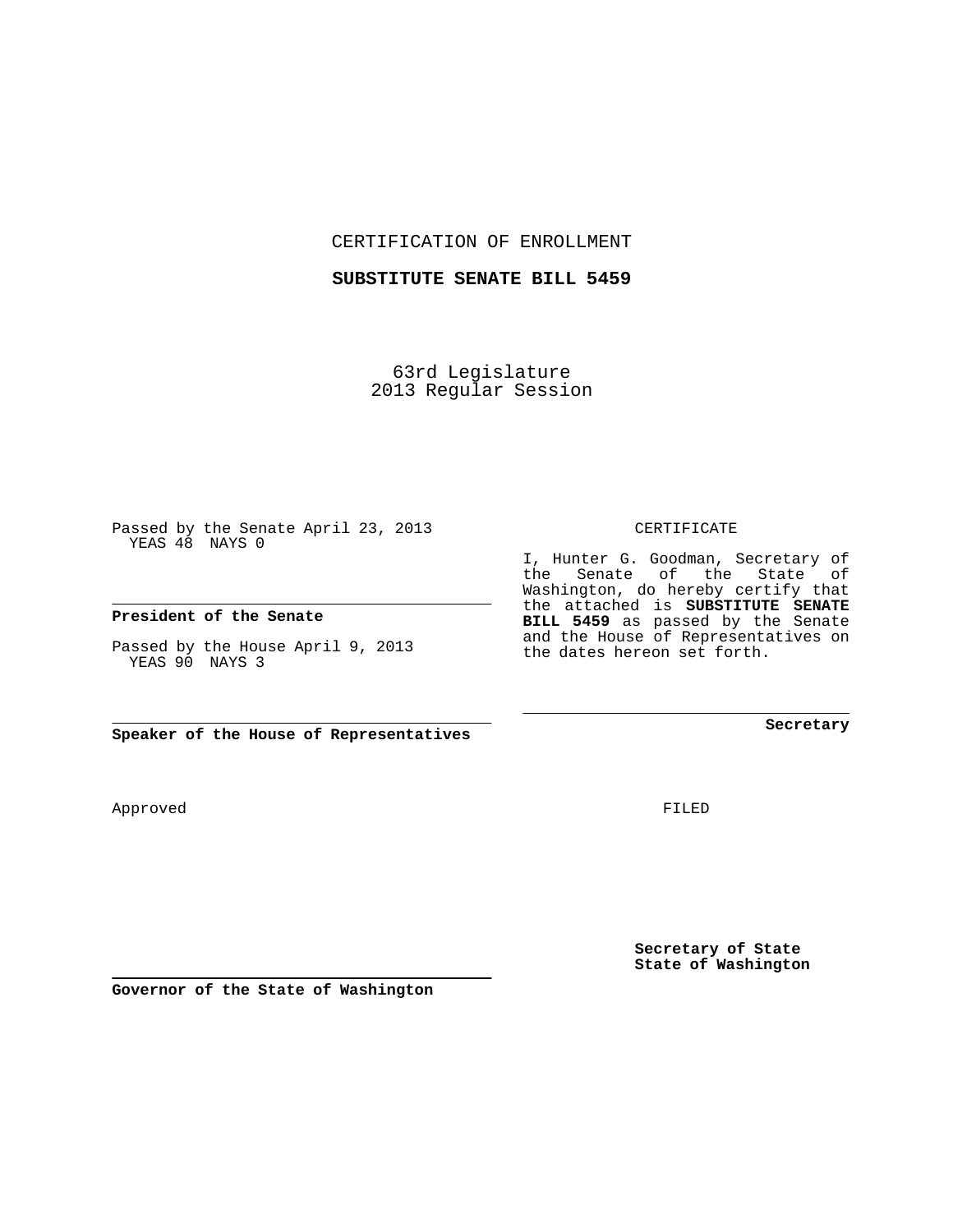CERTIFICATION OF ENROLLMENT

## **SUBSTITUTE SENATE BILL 5459**

63rd Legislature 2013 Regular Session

Passed by the Senate April 23, 2013 YEAS 48 NAYS 0

## **President of the Senate**

Passed by the House April 9, 2013 YEAS 90 NAYS 3

**Speaker of the House of Representatives**

Approved

FILED

**Secretary of State State of Washington**

**Secretary**

CERTIFICATE

I, Hunter G. Goodman, Secretary of the Senate of the State of Washington, do hereby certify that the attached is **SUBSTITUTE SENATE BILL 5459** as passed by the Senate and the House of Representatives on the dates hereon set forth.

**Governor of the State of Washington**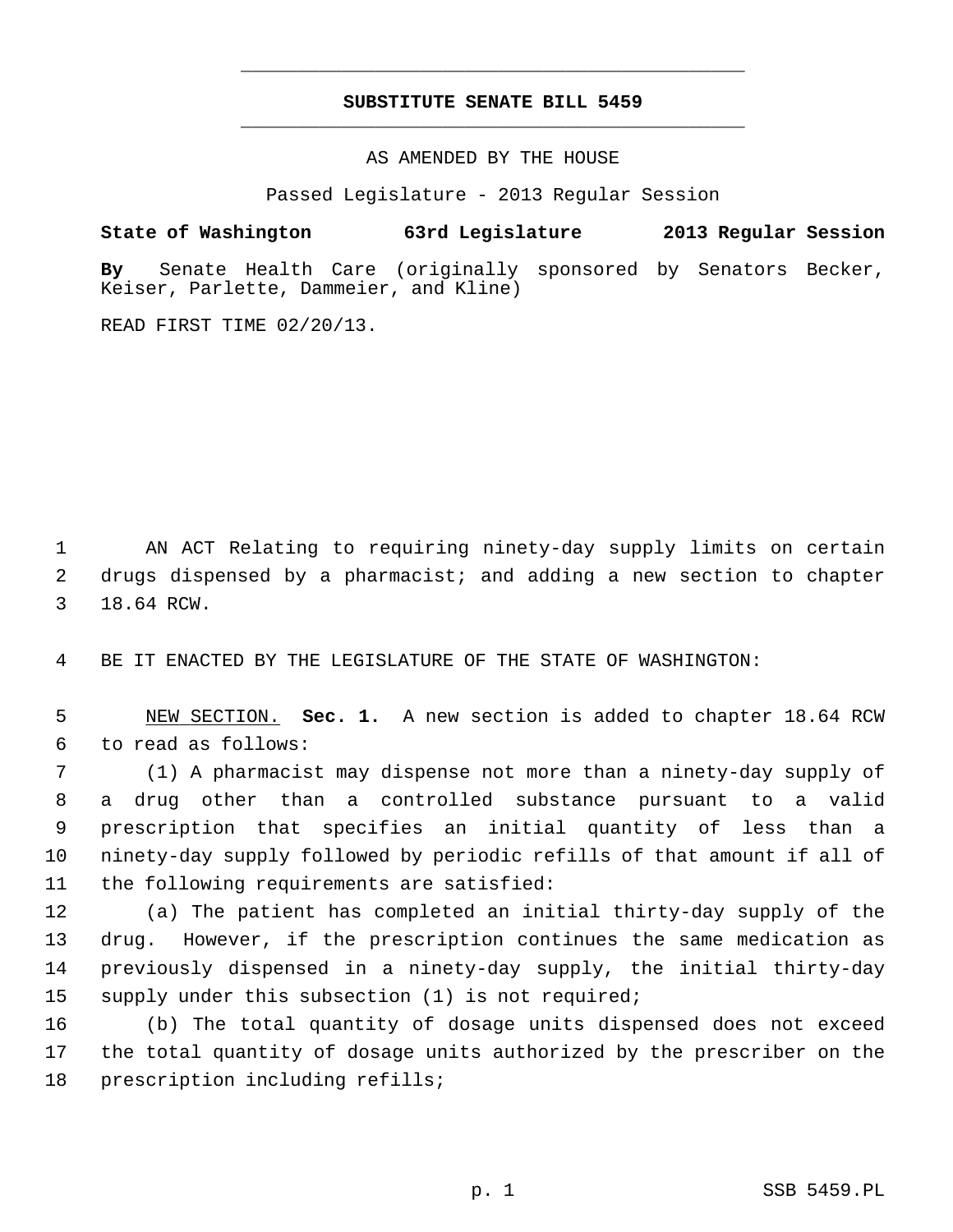## **SUBSTITUTE SENATE BILL 5459** \_\_\_\_\_\_\_\_\_\_\_\_\_\_\_\_\_\_\_\_\_\_\_\_\_\_\_\_\_\_\_\_\_\_\_\_\_\_\_\_\_\_\_\_\_

\_\_\_\_\_\_\_\_\_\_\_\_\_\_\_\_\_\_\_\_\_\_\_\_\_\_\_\_\_\_\_\_\_\_\_\_\_\_\_\_\_\_\_\_\_

AS AMENDED BY THE HOUSE

Passed Legislature - 2013 Regular Session

## **State of Washington 63rd Legislature 2013 Regular Session**

**By** Senate Health Care (originally sponsored by Senators Becker, Keiser, Parlette, Dammeier, and Kline)

READ FIRST TIME 02/20/13.

 1 AN ACT Relating to requiring ninety-day supply limits on certain 2 drugs dispensed by a pharmacist; and adding a new section to chapter 3 18.64 RCW.

4 BE IT ENACTED BY THE LEGISLATURE OF THE STATE OF WASHINGTON:

 5 NEW SECTION. **Sec. 1.** A new section is added to chapter 18.64 RCW 6 to read as follows:

 7 (1) A pharmacist may dispense not more than a ninety-day supply of 8 a drug other than a controlled substance pursuant to a valid 9 prescription that specifies an initial quantity of less than a 10 ninety-day supply followed by periodic refills of that amount if all of 11 the following requirements are satisfied:

12 (a) The patient has completed an initial thirty-day supply of the 13 drug. However, if the prescription continues the same medication as 14 previously dispensed in a ninety-day supply, the initial thirty-day 15 supply under this subsection (1) is not required;

16 (b) The total quantity of dosage units dispensed does not exceed 17 the total quantity of dosage units authorized by the prescriber on the 18 prescription including refills;